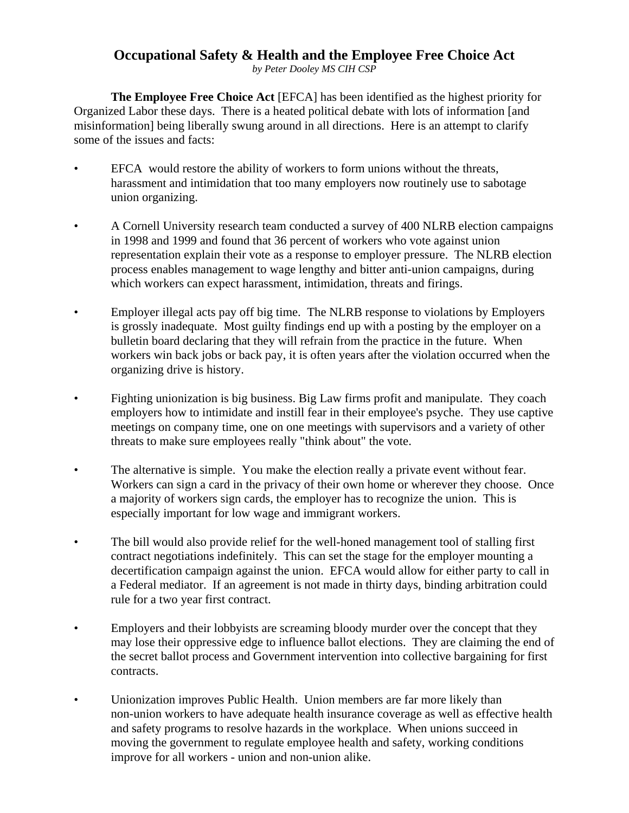## **Occupational Safety & Health and the Employee Free Choice Act**

*by Peter Dooley MS CIH CSP*

**The Employee Free Choice Act** [EFCA] has been identified as the highest priority for Organized Labor these days. There is a heated political debate with lots of information [and misinformation] being liberally swung around in all directions. Here is an attempt to clarify some of the issues and facts:

- EFCA would restore the ability of workers to form unions without the threats, harassment and intimidation that too many employers now routinely use to sabotage union organizing.
- A Cornell University research team conducted a survey of 400 NLRB election campaigns in 1998 and 1999 and found that 36 percent of workers who vote against union representation explain their vote as a response to employer pressure. The NLRB election process enables management to wage lengthy and bitter anti-union campaigns, during which workers can expect harassment, intimidation, threats and firings.
- Employer illegal acts pay off big time. The NLRB response to violations by Employers is grossly inadequate. Most guilty findings end up with a posting by the employer on a bulletin board declaring that they will refrain from the practice in the future. When workers win back jobs or back pay, it is often years after the violation occurred when the organizing drive is history.
- Fighting unionization is big business. Big Law firms profit and manipulate. They coach employers how to intimidate and instill fear in their employee's psyche. They use captive meetings on company time, one on one meetings with supervisors and a variety of other threats to make sure employees really "think about" the vote.
- The alternative is simple. You make the election really a private event without fear. Workers can sign a card in the privacy of their own home or wherever they choose. Once a majority of workers sign cards, the employer has to recognize the union. This is especially important for low wage and immigrant workers.
- The bill would also provide relief for the well-honed management tool of stalling first contract negotiations indefinitely. This can set the stage for the employer mounting a decertification campaign against the union. EFCA would allow for either party to call in a Federal mediator. If an agreement is not made in thirty days, binding arbitration could rule for a two year first contract.
- Employers and their lobbyists are screaming bloody murder over the concept that they may lose their oppressive edge to influence ballot elections. They are claiming the end of the secret ballot process and Government intervention into collective bargaining for first contracts.
- Unionization improves Public Health. Union members are far more likely than non-union workers to have adequate health insurance coverage as well as effective health and safety programs to resolve hazards in the workplace. When unions succeed in moving the government to regulate employee health and safety, working conditions improve for all workers - union and non-union alike.